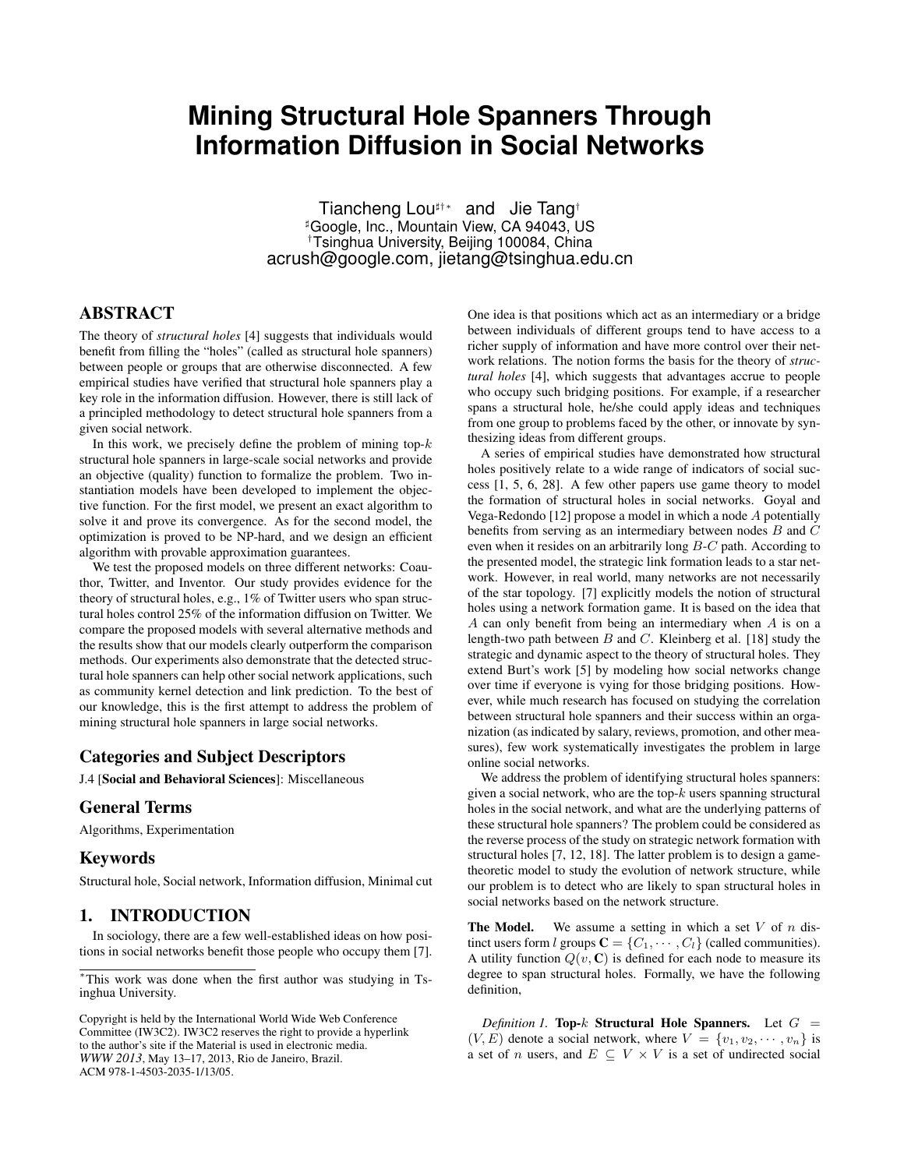# **Mining Structural Hole Spanners Through Information Diffusion in Social Networks**

Tiancheng Lou<sup>#†∗</sup> and Jie Tang<sup>†</sup> ]Google, Inc., Mountain View, CA 94043, US †Tsinghua University, Beijing 100084, China acrush@google.com, jietang@tsinghua.edu.cn

## ABSTRACT

The theory of *structural holes* [4] suggests that individuals would benefit from filling the "holes" (called as structural hole spanners) between people or groups that are otherwise disconnected. A few empirical studies have verified that structural hole spanners play a key role in the information diffusion. However, there is still lack of a principled methodology to detect structural hole spanners from a given social network.

In this work, we precisely define the problem of mining top- $k$ structural hole spanners in large-scale social networks and provide an objective (quality) function to formalize the problem. Two instantiation models have been developed to implement the objective function. For the first model, we present an exact algorithm to solve it and prove its convergence. As for the second model, the optimization is proved to be NP-hard, and we design an efficient algorithm with provable approximation guarantees.

We test the proposed models on three different networks: Coauthor, Twitter, and Inventor. Our study provides evidence for the theory of structural holes, e.g., 1% of Twitter users who span structural holes control 25% of the information diffusion on Twitter. We compare the proposed models with several alternative methods and the results show that our models clearly outperform the comparison methods. Our experiments also demonstrate that the detected structural hole spanners can help other social network applications, such as community kernel detection and link prediction. To the best of our knowledge, this is the first attempt to address the problem of mining structural hole spanners in large social networks.

#### Categories and Subject Descriptors

J.4 [Social and Behavioral Sciences]: Miscellaneous

#### General Terms

Algorithms, Experimentation

## Keywords

Structural hole, Social network, Information diffusion, Minimal cut

## 1. INTRODUCTION

In sociology, there are a few well-established ideas on how positions in social networks benefit those people who occupy them [7].

One idea is that positions which act as an intermediary or a bridge between individuals of different groups tend to have access to a richer supply of information and have more control over their network relations. The notion forms the basis for the theory of *structural holes* [4], which suggests that advantages accrue to people who occupy such bridging positions. For example, if a researcher spans a structural hole, he/she could apply ideas and techniques from one group to problems faced by the other, or innovate by synthesizing ideas from different groups.

A series of empirical studies have demonstrated how structural holes positively relate to a wide range of indicators of social success [1, 5, 6, 28]. A few other papers use game theory to model the formation of structural holes in social networks. Goyal and Vega-Redondo [12] propose a model in which a node A potentially benefits from serving as an intermediary between nodes  $B$  and  $C$ even when it resides on an arbitrarily long B-C path. According to the presented model, the strategic link formation leads to a star network. However, in real world, many networks are not necessarily of the star topology. [7] explicitly models the notion of structural holes using a network formation game. It is based on the idea that A can only benefit from being an intermediary when A is on a length-two path between  $B$  and  $C$ . Kleinberg et al. [18] study the strategic and dynamic aspect to the theory of structural holes. They extend Burt's work [5] by modeling how social networks change over time if everyone is vying for those bridging positions. However, while much research has focused on studying the correlation between structural hole spanners and their success within an organization (as indicated by salary, reviews, promotion, and other measures), few work systematically investigates the problem in large online social networks.

We address the problem of identifying structural holes spanners: given a social network, who are the top- $k$  users spanning structural holes in the social network, and what are the underlying patterns of these structural hole spanners? The problem could be considered as the reverse process of the study on strategic network formation with structural holes [7, 12, 18]. The latter problem is to design a gametheoretic model to study the evolution of network structure, while our problem is to detect who are likely to span structural holes in social networks based on the network structure.

**The Model.** We assume a setting in which a set  $V$  of  $n$  distinct users form *l* groups  $C = \{C_1, \dots, C_l\}$  (called communities). A utility function  $Q(v, C)$  is defined for each node to measure its degree to span structural holes. Formally, we have the following definition,

*Definition 1.* Top- $k$  Structural Hole Spanners. Let  $G =$  $(V, E)$  denote a social network, where  $V = \{v_1, v_2, \dots, v_n\}$  is a set of n users, and  $E \subseteq V \times V$  is a set of undirected social

<sup>∗</sup>This work was done when the first author was studying in Tsinghua University.

Copyright is held by the International World Wide Web Conference Committee (IW3C2). IW3C2 reserves the right to provide a hyperlink to the author's site if the Material is used in electronic media. *WWW 2013*, May 13–17, 2013, Rio de Janeiro, Brazil. ACM 978-1-4503-2035-1/13/05.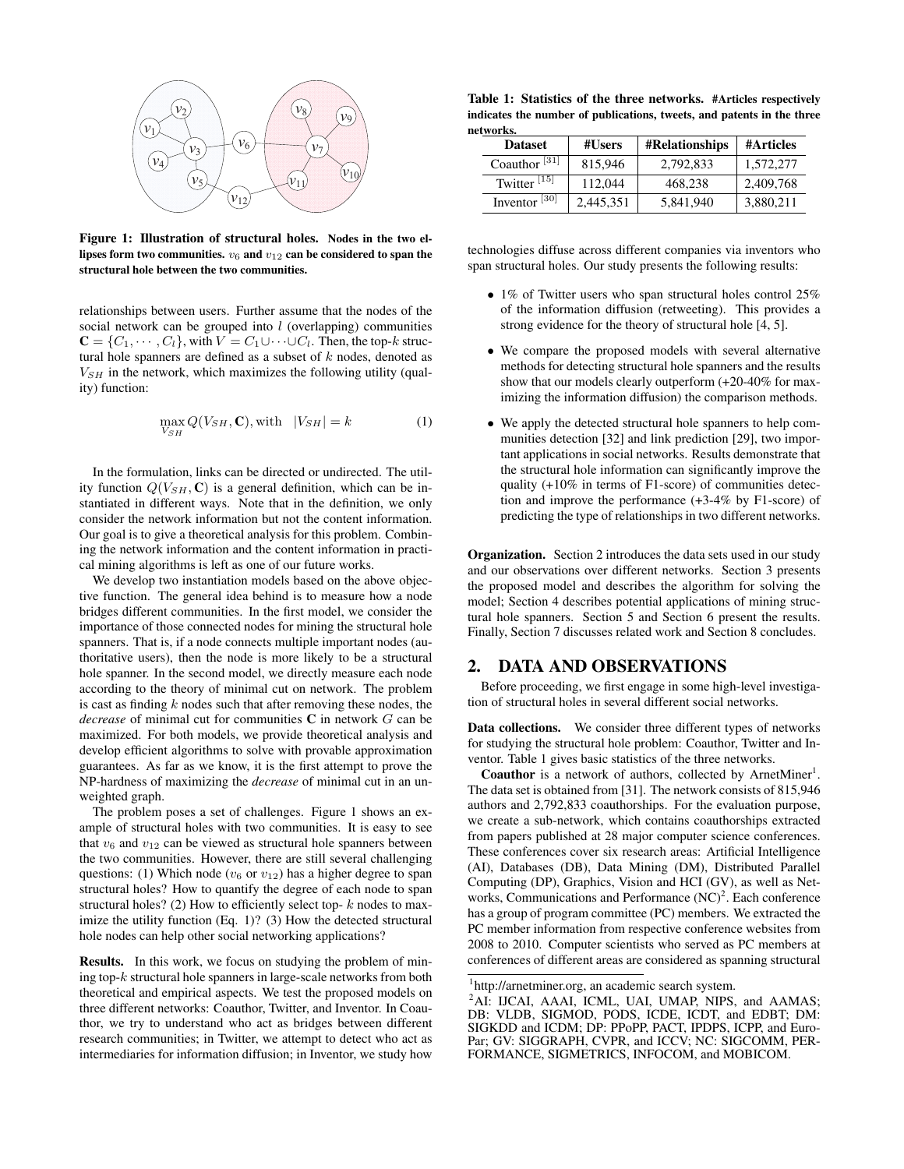

Figure 1: Illustration of structural holes. Nodes in the two ellipses form two communities.  $v_6$  and  $v_{12}$  can be considered to span the structural hole between the two communities.

relationships between users. Further assume that the nodes of the social network can be grouped into  $l$  (overlapping) communities  $\mathbf{C} = \{C_1, \dots, C_l\}$ , with  $V = C_1 \cup \dots \cup C_l$ . Then, the top-k structural hole spanners are defined as a subset of  $k$  nodes, denoted as  $V_{SH}$  in the network, which maximizes the following utility (quality) function:

$$
\max_{V_{SH}} Q(V_{SH}, \mathbf{C}), \text{with} \quad |V_{SH}| = k \tag{1}
$$

In the formulation, links can be directed or undirected. The utility function  $Q(V_{SH}, \mathbf{C})$  is a general definition, which can be instantiated in different ways. Note that in the definition, we only consider the network information but not the content information. Our goal is to give a theoretical analysis for this problem. Combining the network information and the content information in practical mining algorithms is left as one of our future works.

We develop two instantiation models based on the above objective function. The general idea behind is to measure how a node bridges different communities. In the first model, we consider the importance of those connected nodes for mining the structural hole spanners. That is, if a node connects multiple important nodes (authoritative users), then the node is more likely to be a structural hole spanner. In the second model, we directly measure each node according to the theory of minimal cut on network. The problem is cast as finding  $k$  nodes such that after removing these nodes, the *decrease* of minimal cut for communities C in network G can be maximized. For both models, we provide theoretical analysis and develop efficient algorithms to solve with provable approximation guarantees. As far as we know, it is the first attempt to prove the NP-hardness of maximizing the *decrease* of minimal cut in an unweighted graph.

The problem poses a set of challenges. Figure 1 shows an example of structural holes with two communities. It is easy to see that  $v_6$  and  $v_{12}$  can be viewed as structural hole spanners between the two communities. However, there are still several challenging questions: (1) Which node ( $v_6$  or  $v_{12}$ ) has a higher degree to span structural holes? How to quantify the degree of each node to span structural holes? (2) How to efficiently select top- $k$  nodes to maximize the utility function (Eq. 1)? (3) How the detected structural hole nodes can help other social networking applications?

Results. In this work, we focus on studying the problem of mining top- $k$  structural hole spanners in large-scale networks from both theoretical and empirical aspects. We test the proposed models on three different networks: Coauthor, Twitter, and Inventor. In Coauthor, we try to understand who act as bridges between different research communities; in Twitter, we attempt to detect who act as intermediaries for information diffusion; in Inventor, we study how

Table 1: Statistics of the three networks. #Articles respectively indicates the number of publications, tweets, and patents in the three networks.

| <b>Dataset</b>             | #Users    | <b>#Relationships</b> | #Articles |
|----------------------------|-----------|-----------------------|-----------|
| Coauthor $\left[31\right]$ | 815,946   | 2,792,833             | 1,572,277 |
| Twitter $^{[15]}$          | 112,044   | 468,238               | 2,409,768 |
| Inventor $[30]$            | 2,445,351 | 5,841,940             | 3,880,211 |

technologies diffuse across different companies via inventors who span structural holes. Our study presents the following results:

- 1% of Twitter users who span structural holes control 25% of the information diffusion (retweeting). This provides a strong evidence for the theory of structural hole [4, 5].
- We compare the proposed models with several alternative methods for detecting structural hole spanners and the results show that our models clearly outperform (+20-40% for maximizing the information diffusion) the comparison methods.
- We apply the detected structural hole spanners to help communities detection [32] and link prediction [29], two important applications in social networks. Results demonstrate that the structural hole information can significantly improve the quality (+10% in terms of F1-score) of communities detection and improve the performance (+3-4% by F1-score) of predicting the type of relationships in two different networks.

Organization. Section 2 introduces the data sets used in our study and our observations over different networks. Section 3 presents the proposed model and describes the algorithm for solving the model; Section 4 describes potential applications of mining structural hole spanners. Section 5 and Section 6 present the results. Finally, Section 7 discusses related work and Section 8 concludes.

## 2. DATA AND OBSERVATIONS

Before proceeding, we first engage in some high-level investigation of structural holes in several different social networks.

Data collections. We consider three different types of networks for studying the structural hole problem: Coauthor, Twitter and Inventor. Table 1 gives basic statistics of the three networks.

Coauthor is a network of authors, collected by ArnetMiner<sup>1</sup>. The data set is obtained from [31]. The network consists of 815,946 authors and 2,792,833 coauthorships. For the evaluation purpose, we create a sub-network, which contains coauthorships extracted from papers published at 28 major computer science conferences. These conferences cover six research areas: Artificial Intelligence (AI), Databases (DB), Data Mining (DM), Distributed Parallel Computing (DP), Graphics, Vision and HCI (GV), as well as Networks, Communications and Performance  $(NC)^2$ . Each conference has a group of program committee (PC) members. We extracted the PC member information from respective conference websites from 2008 to 2010. Computer scientists who served as PC members at conferences of different areas are considered as spanning structural

<sup>1</sup> http://arnetminer.org, an academic search system.

<sup>&</sup>lt;sup>2</sup>AI: IJCAI, AAAI, ICML, UAI, UMAP, NIPS, and AAMAS; DB: VLDB, SIGMOD, PODS, ICDE, ICDT, and EDBT; DM: SIGKDD and ICDM; DP: PPoPP, PACT, IPDPS, ICPP, and Euro-Par; GV: SIGGRAPH, CVPR, and ICCV; NC: SIGCOMM, PER-FORMANCE, SIGMETRICS, INFOCOM, and MOBICOM.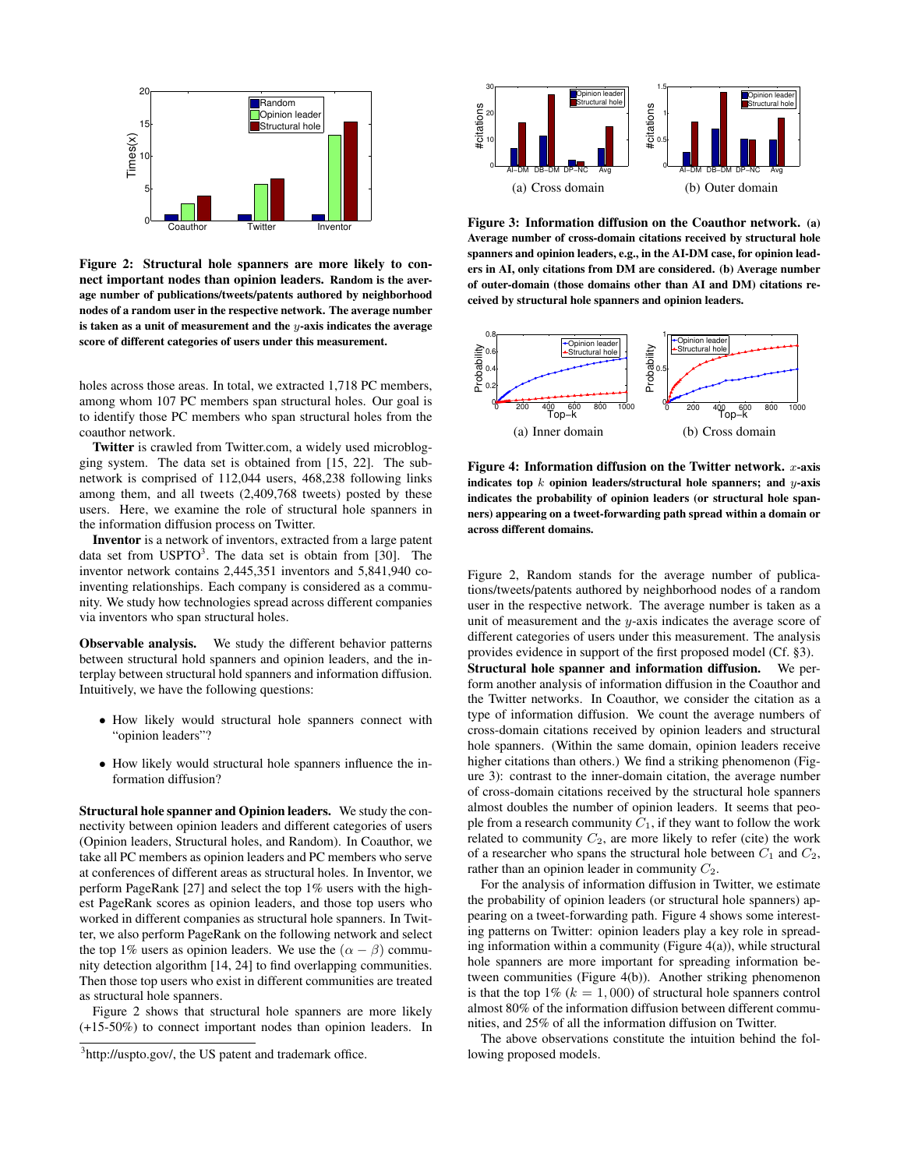

Figure 2: Structural hole spanners are more likely to connect important nodes than opinion leaders. Random is the average number of publications/tweets/patents authored by neighborhood nodes of a random user in the respective network. The average number is taken as a unit of measurement and the  $y$ -axis indicates the average score of different categories of users under this measurement.

holes across those areas. In total, we extracted 1,718 PC members, among whom 107 PC members span structural holes. Our goal is to identify those PC members who span structural holes from the coauthor network.

Twitter is crawled from Twitter.com, a widely used microblogging system. The data set is obtained from [15, 22]. The subnetwork is comprised of 112,044 users, 468,238 following links among them, and all tweets (2,409,768 tweets) posted by these users. Here, we examine the role of structural hole spanners in the information diffusion process on Twitter.

Inventor is a network of inventors, extracted from a large patent data set from  $USPTO<sup>3</sup>$ . The data set is obtain from [30]. The inventor network contains 2,445,351 inventors and 5,841,940 coinventing relationships. Each company is considered as a community. We study how technologies spread across different companies via inventors who span structural holes.

Observable analysis. We study the different behavior patterns between structural hold spanners and opinion leaders, and the interplay between structural hold spanners and information diffusion. Intuitively, we have the following questions:

- How likely would structural hole spanners connect with "opinion leaders"?
- How likely would structural hole spanners influence the information diffusion?

Structural hole spanner and Opinion leaders. We study the connectivity between opinion leaders and different categories of users (Opinion leaders, Structural holes, and Random). In Coauthor, we take all PC members as opinion leaders and PC members who serve at conferences of different areas as structural holes. In Inventor, we perform PageRank [27] and select the top 1% users with the highest PageRank scores as opinion leaders, and those top users who worked in different companies as structural hole spanners. In Twitter, we also perform PageRank on the following network and select the top 1% users as opinion leaders. We use the  $(\alpha - \beta)$  community detection algorithm [14, 24] to find overlapping communities. Then those top users who exist in different communities are treated as structural hole spanners.

Figure 2 shows that structural hole spanners are more likely (+15-50%) to connect important nodes than opinion leaders. In



Figure 3: Information diffusion on the Coauthor network. (a) Average number of cross-domain citations received by structural hole spanners and opinion leaders, e.g., in the AI-DM case, for opinion leaders in AI, only citations from DM are considered. (b) Average number of outer-domain (those domains other than AI and DM) citations received by structural hole spanners and opinion leaders.



Figure 4: Information diffusion on the Twitter network.  $x$ -axis indicates top  $k$  opinion leaders/structural hole spanners; and  $y$ -axis indicates the probability of opinion leaders (or structural hole spanners) appearing on a tweet-forwarding path spread within a domain or across different domains.

Figure 2, Random stands for the average number of publications/tweets/patents authored by neighborhood nodes of a random user in the respective network. The average number is taken as a unit of measurement and the  $y$ -axis indicates the average score of different categories of users under this measurement. The analysis provides evidence in support of the first proposed model (Cf. §3).

Structural hole spanner and information diffusion. We perform another analysis of information diffusion in the Coauthor and the Twitter networks. In Coauthor, we consider the citation as a type of information diffusion. We count the average numbers of cross-domain citations received by opinion leaders and structural hole spanners. (Within the same domain, opinion leaders receive higher citations than others.) We find a striking phenomenon (Figure 3): contrast to the inner-domain citation, the average number of cross-domain citations received by the structural hole spanners almost doubles the number of opinion leaders. It seems that people from a research community  $C_1$ , if they want to follow the work related to community  $C_2$ , are more likely to refer (cite) the work of a researcher who spans the structural hole between  $C_1$  and  $C_2$ , rather than an opinion leader in community  $C_2$ .

For the analysis of information diffusion in Twitter, we estimate the probability of opinion leaders (or structural hole spanners) appearing on a tweet-forwarding path. Figure 4 shows some interesting patterns on Twitter: opinion leaders play a key role in spreading information within a community (Figure  $4(a)$ ), while structural hole spanners are more important for spreading information between communities (Figure 4(b)). Another striking phenomenon is that the top 1% ( $k = 1,000$ ) of structural hole spanners control almost 80% of the information diffusion between different communities, and 25% of all the information diffusion on Twitter.

The above observations constitute the intuition behind the following proposed models.

<sup>&</sup>lt;sup>3</sup>http://uspto.gov/, the US patent and trademark office.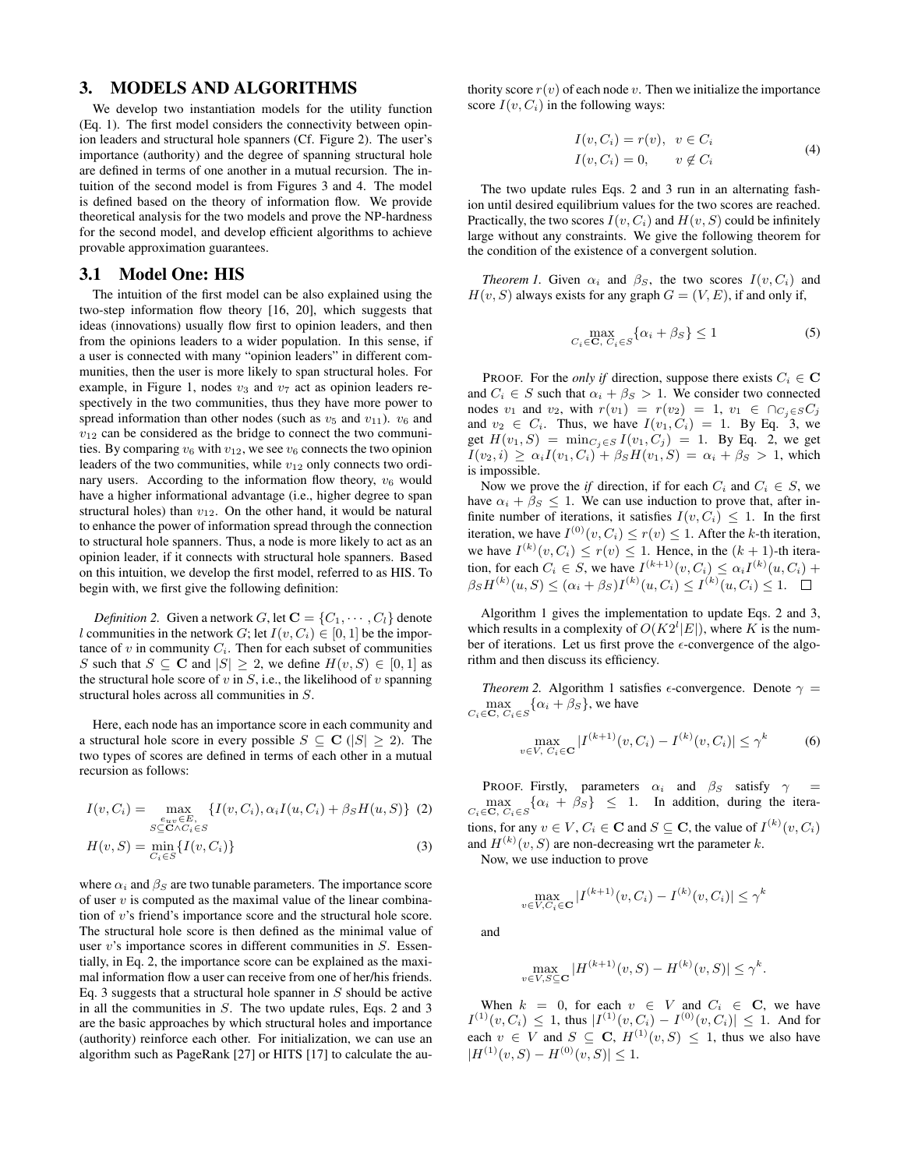### 3. MODELS AND ALGORITHMS

We develop two instantiation models for the utility function (Eq. 1). The first model considers the connectivity between opinion leaders and structural hole spanners (Cf. Figure 2). The user's importance (authority) and the degree of spanning structural hole are defined in terms of one another in a mutual recursion. The intuition of the second model is from Figures 3 and 4. The model is defined based on the theory of information flow. We provide theoretical analysis for the two models and prove the NP-hardness for the second model, and develop efficient algorithms to achieve provable approximation guarantees.

#### 3.1 Model One: HIS

The intuition of the first model can be also explained using the two-step information flow theory [16, 20], which suggests that ideas (innovations) usually flow first to opinion leaders, and then from the opinions leaders to a wider population. In this sense, if a user is connected with many "opinion leaders" in different communities, then the user is more likely to span structural holes. For example, in Figure 1, nodes  $v_3$  and  $v_7$  act as opinion leaders respectively in the two communities, thus they have more power to spread information than other nodes (such as  $v_5$  and  $v_{11}$ ).  $v_6$  and  $v_{12}$  can be considered as the bridge to connect the two communities. By comparing  $v_6$  with  $v_{12}$ , we see  $v_6$  connects the two opinion leaders of the two communities, while  $v_{12}$  only connects two ordinary users. According to the information flow theory,  $v_6$  would have a higher informational advantage (i.e., higher degree to span structural holes) than  $v_{12}$ . On the other hand, it would be natural to enhance the power of information spread through the connection to structural hole spanners. Thus, a node is more likely to act as an opinion leader, if it connects with structural hole spanners. Based on this intuition, we develop the first model, referred to as HIS. To begin with, we first give the following definition:

*Definition 2.* Given a network G, let  $\mathbf{C} = \{C_1, \dots, C_l\}$  denote l communities in the network G; let  $I(v, C_i) \in [0, 1]$  be the importance of  $v$  in community  $C_i$ . Then for each subset of communities S such that  $S \subseteq \mathbf{C}$  and  $|S| \geq 2$ , we define  $H(v, S) \in [0, 1]$  as the structural hole score of  $v$  in  $S$ , i.e., the likelihood of  $v$  spanning structural holes across all communities in S.

Here, each node has an importance score in each community and a structural hole score in every possible  $S \subseteq \mathbb{C}$  ( $|S| \geq 2$ ). The two types of scores are defined in terms of each other in a mutual recursion as follows:

$$
I(v, C_i) = \max_{\substack{e_{uv} \in E, \\ S \subseteq \mathbf{C} \land C_i \in S}} \{I(v, C_i), \alpha_i I(u, C_i) + \beta_S H(u, S)\} \tag{2}
$$

$$
H(v, S) = \min_{C_i \in S} \{I(v, C_i)\}\tag{3}
$$

where  $\alpha_i$  and  $\beta_s$  are two tunable parameters. The importance score of user  $v$  is computed as the maximal value of the linear combination of v's friend's importance score and the structural hole score. The structural hole score is then defined as the minimal value of user  $v$ 's importance scores in different communities in  $S$ . Essentially, in Eq. 2, the importance score can be explained as the maximal information flow a user can receive from one of her/his friends. Eq. 3 suggests that a structural hole spanner in  $S$  should be active in all the communities in S. The two update rules, Eqs. 2 and 3 are the basic approaches by which structural holes and importance (authority) reinforce each other. For initialization, we can use an algorithm such as PageRank [27] or HITS [17] to calculate the authority score  $r(v)$  of each node v. Then we initialize the importance score  $I(v, C_i)$  in the following ways:

$$
I(v, C_i) = r(v), v \in C_i
$$
  
\n
$$
I(v, C_i) = 0, v \notin C_i
$$
\n(4)

The two update rules Eqs. 2 and 3 run in an alternating fashion until desired equilibrium values for the two scores are reached. Practically, the two scores  $I(v, C_i)$  and  $H(v, S)$  could be infinitely large without any constraints. We give the following theorem for the condition of the existence of a convergent solution.

*Theorem 1.* Given  $\alpha_i$  and  $\beta_s$ , the two scores  $I(v, C_i)$  and  $H(v, S)$  always exists for any graph  $G = (V, E)$ , if and only if,

$$
\max_{C_i \in \mathbf{C}, \ C_i \in S} \{ \alpha_i + \beta_S \} \le 1 \tag{5}
$$

PROOF. For the *only if* direction, suppose there exists  $C_i \in \mathbb{C}$ and  $C_i \in S$  such that  $\alpha_i + \beta_s > 1$ . We consider two connected nodes  $v_1$  and  $v_2$ , with  $r(v_1) = r(v_2) = 1$ ,  $v_1 \in \bigcap_{C_i \in S} C_j$ and  $v_2 \in C_i$ . Thus, we have  $I(v_1, C_i) = 1$ . By Eq. 3, we get  $H(v_1, S) = \min_{C_i \in S} I(v_1, C_i) = 1$ . By Eq. 2, we get  $I(v_2, i) \geq \alpha_i I(v_1, C_i) + \beta_S H(v_1, S) = \alpha_i + \beta_S > 1$ , which is impossible.

Now we prove the *if* direction, if for each  $C_i$  and  $C_i \in S$ , we have  $\alpha_i + \beta_s \leq 1$ . We can use induction to prove that, after infinite number of iterations, it satisfies  $I(v, C_i) \leq 1$ . In the first iteration, we have  $I^{(0)}(v, C_i) \le r(v) \le 1$ . After the k-th iteration, we have  $I^{(k)}(v, C_i) \le r(v) \le 1$ . Hence, in the  $(k + 1)$ -th iteration, for each  $C_i \in S$ , we have  $I^{(k+1)}(v, C_i) \leq \alpha_i I^{(k)}(u, C_i) +$  $\beta_S H^{(k)}(u, S) \leq (\alpha_i + \beta_S)I^{(k)}(u, C_i) \leq I^{(k)}(u, C_i) \leq 1.$ 

Algorithm 1 gives the implementation to update Eqs. 2 and 3, which results in a complexity of  $O(K2^l|E|)$ , where K is the number of iterations. Let us first prove the  $\epsilon$ -convergence of the algorithm and then discuss its efficiency.

*Theorem 2.* Algorithm 1 satisfies  $\epsilon$ -convergence. Denote  $\gamma$  =  $\max_{C_i \in \mathbf{C}, C_i \in S} {\alpha_i + \beta_S},$  we have

$$
\max_{v \in V, C_i \in \mathbf{C}} |I^{(k+1)}(v, C_i) - I^{(k)}(v, C_i)| \le \gamma^k \tag{6}
$$

PROOF. Firstly, parameters  $\alpha_i$  and  $\beta_S$  satisfy  $\gamma$  =  $\max_{C_i \in \mathbf{C}, \ C_i \in \mathcal{S}} \{ \alpha_i + \beta_{\mathcal{S}} \} \leq 1$ . In addition, during the iterations, for any  $v \in V$ ,  $C_i \in \mathbf{C}$  and  $S \subseteq \mathbf{C}$ , the value of  $I^{(k)}(v, C_i)$ and  $H^{(k)}(v, S)$  are non-decreasing wrt the parameter k.

Now, we use induction to prove

$$
\max_{v \in V, C_i \in \mathbf{C}} |I^{(k+1)}(v, C_i) - I^{(k)}(v, C_i)| \le \gamma^k
$$

and

$$
\max_{v \in V, S \subseteq \mathbf{C}} |H^{(k+1)}(v, S) - H^{(k)}(v, S)| \le \gamma^{k}.
$$

When  $k = 0$ , for each  $v \in V$  and  $C_i \in \mathbb{C}$ , we have  $I^{(1)}(v, C_i) \leq 1$ , thus  $|I^{(1)}(v, C_i) - I^{(0)}(v, C_i)| \leq 1$ . And for each  $v \in V$  and  $S \subseteq \mathbf{C}$ ,  $H^{(1)}(v, S) \leq 1$ , thus we also have  $|H^{(1)}(v, S) - H^{(0)}(v, S)| \leq 1.$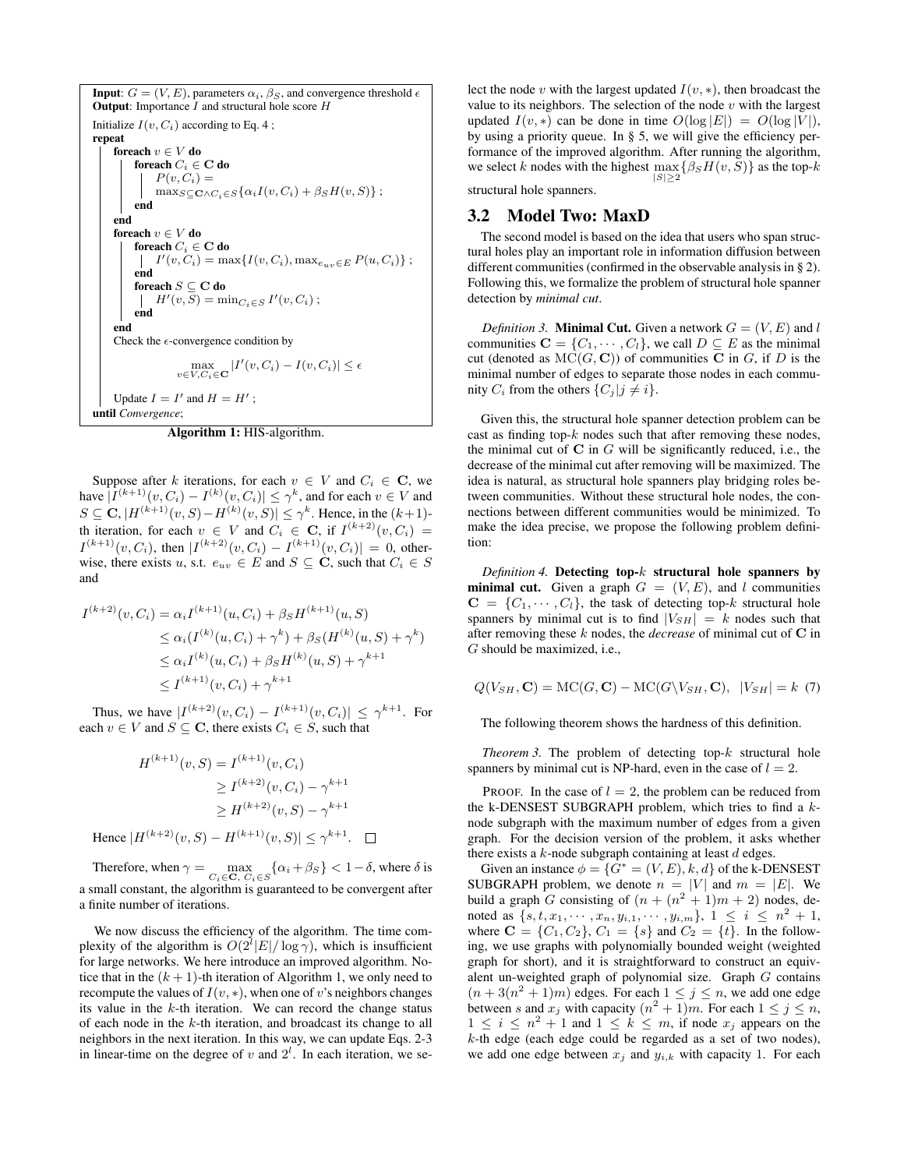**Input**:  $G = (V, E)$ , parameters  $\alpha_i$ ,  $\beta_S$ , and convergence threshold  $\epsilon$ **Output:** Importance  $I$  and structural hole score  $H$ Initialize  $I(v, C_i)$  according to Eq. 4; repeat foreach  $v \in V$ do foreach  $C_i \in {\bf C}$  do  $P(v, C_i) =$  $\max_{S \subset \mathbf{C} \wedge C_i \in S} \{ \alpha_i I(v, C_i) + \beta_S H(v, S) \};$ end end foreach  $v \in V$ do foreach  $C_i \in \mathbf{C}$  do  $I'(v, C_i) = \max\{I(v, C_i), \max_{e_{uv} \in E} P(u, C_i)\};$ end foreach  $S \subseteq \mathbf{C}$  do  $H'(v, \overline{S}) = \min_{C_i \in S} I'(v, C_i);$ end end Check the  $\epsilon$ -convergence condition by  $\max_{v \in V, C_i \in \mathbf{C}} |I'(v, C_i) - I(v, C_i)| \le \epsilon$ Update  $I = I'$  and  $H = H'$ ; until *Convergence*;

Algorithm 1: HIS-algorithm.

Suppose after k iterations, for each  $v \in V$  and  $C_i \in \mathbf{C}$ , we have  $|\overline{I}^{(k+1)}(v, C_i) - I^{(k)}(v, C_i)| \leq \gamma^k$ , and for each  $v \in V$  and  $S \subseteq \mathbf{C}, |H^{(k+1)}(v, S) - H^{(k)}(v, S)| \leq \gamma^k$ . Hence, in the  $(k+1)$ th iteration, for each  $v \in V$  and  $C_i \in \mathbb{C}$ , if  $I^{(k+2)}(v, C_i) =$  $I^{(k+1)}(v, C_i)$ , then  $|I^{(k+2)}(v, C_i) - I^{(k+1)}(v, C_i)| = 0$ , otherwise, there exists u, s.t.  $e_{uv} \in E$  and  $S \subseteq \mathbf{C}$ , such that  $C_i \in S$ and

$$
I^{(k+2)}(v, C_i) = \alpha_i I^{(k+1)}(u, C_i) + \beta_S H^{(k+1)}(u, S)
$$
  
\n
$$
\leq \alpha_i (I^{(k)}(u, C_i) + \gamma^k) + \beta_S (H^{(k)}(u, S) + \gamma^k)
$$
  
\n
$$
\leq \alpha_i I^{(k)}(u, C_i) + \beta_S H^{(k)}(u, S) + \gamma^{k+1}
$$
  
\n
$$
\leq I^{(k+1)}(v, C_i) + \gamma^{k+1}
$$

Thus, we have  $|I^{(k+2)}(v, C_i) - I^{(k+1)}(v, C_i)| \leq \gamma^{k+1}$ . For each  $v \in V$  and  $S \subseteq \mathbf{C}$ , there exists  $C_i \in S$ , such that

$$
H^{(k+1)}(v, S) = I^{(k+1)}(v, C_i)
$$
  
\n
$$
\geq I^{(k+2)}(v, C_i) - \gamma^{k+1}
$$
  
\n
$$
\geq H^{(k+2)}(v, S) - \gamma^{k+1}
$$
  
\nHence  $|H^{(k+2)}(v, S) - H^{(k+1)}(v, S)| \leq \gamma^{k+1}$ .  $\square$ 

Therefore, when  $\gamma = \max_{C_i \in \mathbf{C}, C_i \in S} \{ \alpha_i + \beta_S \} < 1 - \delta$ , where  $\delta$  is a small constant, the algorithm is guaranteed to be convergent after a finite number of iterations.

We now discuss the efficiency of the algorithm. The time complexity of the algorithm is  $O(2^{l}|E|/\log \gamma)$ , which is insufficient for large networks. We here introduce an improved algorithm. Notice that in the  $(k + 1)$ -th iteration of Algorithm 1, we only need to recompute the values of  $I(v, *)$ , when one of v's neighbors changes its value in the  $k$ -th iteration. We can record the change status of each node in the k-th iteration, and broadcast its change to all neighbors in the next iteration. In this way, we can update Eqs. 2-3 in linear-time on the degree of v and  $2^l$ . In each iteration, we select the node v with the largest updated  $I(v, *)$ , then broadcast the value to its neighbors. The selection of the node  $v$  with the largest updated  $I(v, *)$  can be done in time  $O(log |E|) = O(log |V|)$ , by using a priority queue. In § 5, we will give the efficiency performance of the improved algorithm. After running the algorithm, we select k nodes with the highest  $\max_{|S| \ge 2} {\beta_S H(v, S)}$  as the top-k structural hole spanners.

## 3.2 Model Two: MaxD

The second model is based on the idea that users who span structural holes play an important role in information diffusion between different communities (confirmed in the observable analysis in § 2). Following this, we formalize the problem of structural hole spanner detection by *minimal cut*.

*Definition 3.* **Minimal Cut.** Given a network  $G = (V, E)$  and l communities  $\mathbf{C} = \{C_1, \dots, C_l\}$ , we call  $D \subseteq E$  as the minimal cut (denoted as  $MC(G, \mathbf{C}))$  of communities C in G, if D is the minimal number of edges to separate those nodes in each community  $C_i$  from the others  $\{C_j | j \neq i\}.$ 

Given this, the structural hole spanner detection problem can be cast as finding top- $k$  nodes such that after removing these nodes, the minimal cut of  $C$  in  $G$  will be significantly reduced, i.e., the decrease of the minimal cut after removing will be maximized. The idea is natural, as structural hole spanners play bridging roles between communities. Without these structural hole nodes, the connections between different communities would be minimized. To make the idea precise, we propose the following problem definition:

*Definition 4.* Detecting top-k structural hole spanners by **minimal cut.** Given a graph  $G = (V, E)$ , and l communities  $C = \{C_1, \dots, C_l\}$ , the task of detecting top-k structural hole spanners by minimal cut is to find  $|V_{SH}| = k$  nodes such that after removing these k nodes, the *decrease* of minimal cut of C in G should be maximized, i.e.,

$$
Q(V_{SH}, \mathbf{C}) = \mathrm{MC}(G, \mathbf{C}) - \mathrm{MC}(G \backslash V_{SH}, \mathbf{C}), \ |V_{SH}| = k \tag{7}
$$

The following theorem shows the hardness of this definition.

*Theorem 3.* The problem of detecting top- $k$  structural hole spanners by minimal cut is NP-hard, even in the case of  $l = 2$ .

PROOF. In the case of  $l = 2$ , the problem can be reduced from the k-DENSEST SUBGRAPH problem, which tries to find a  $k$ node subgraph with the maximum number of edges from a given graph. For the decision version of the problem, it asks whether there exists a  $k$ -node subgraph containing at least  $d$  edges.

Given an instance  $\phi = \{G^* = (V, E), k, d\}$  of the k-DENSEST SUBGRAPH problem, we denote  $n = |V|$  and  $m = |E|$ . We build a graph G consisting of  $(n + (n^2 + 1)m + 2)$  nodes, denoted as  $\{s, t, x_1, \dots, x_n, y_{i,1}, \dots, y_{i,m}\}, 1 \leq i \leq n^2 + 1$ , where  $C = \{C_1, C_2\}$ ,  $C_1 = \{s\}$  and  $C_2 = \{t\}$ . In the following, we use graphs with polynomially bounded weight (weighted graph for short), and it is straightforward to construct an equivalent un-weighted graph of polynomial size. Graph G contains  $(n+3(n^2+1)m)$  edges. For each  $1 \le j \le n$ , we add one edge between s and  $x_j$  with capacity  $(n^2 + 1)m$ . For each  $1 \le j \le n$ ,  $1 \leq i \leq n^2 + 1$  and  $1 \leq k \leq m$ , if node  $x_j$  appears on the k-th edge (each edge could be regarded as a set of two nodes), we add one edge between  $x_j$  and  $y_{i,k}$  with capacity 1. For each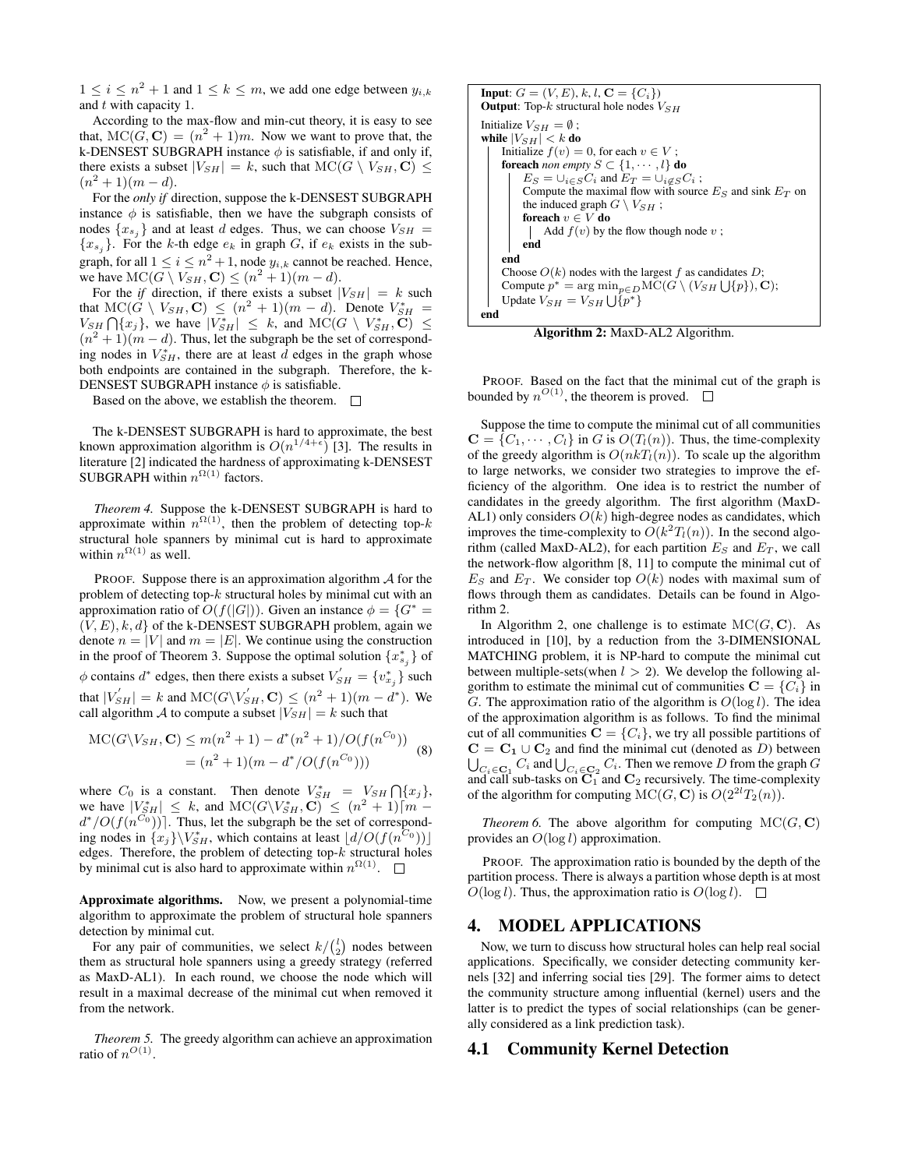$1 \leq i \leq n^2 + 1$  and  $1 \leq k \leq m$ , we add one edge between  $y_{i,k}$ and t with capacity 1.

According to the max-flow and min-cut theory, it is easy to see that,  $MC(G, C) = (n^2 + 1)m$ . Now we want to prove that, the k-DENSEST SUBGRAPH instance  $\phi$  is satisfiable, if and only if, there exists a subset  $|V_{SH}| = k$ , such that  $MC(G \setminus V_{SH}, \mathbb{C})$  <  $(n^2+1)(m-d)$ .

For the *only if* direction, suppose the k-DENSEST SUBGRAPH instance  $\phi$  is satisfiable, then we have the subgraph consists of nodes  $\{x_{s_i}\}\$ and at least d edges. Thus, we can choose  $V_{SH} =$  ${x<sub>s<sub>i</sub>}</sub>$ . For the k-th edge  $e<sub>k</sub>$  in graph G, if  $e<sub>k</sub>$  exists in the subgraph, for all  $1 \leq i \leq n^2 + 1$ , node  $y_{i,k}$  cannot be reached. Hence, we have  $\mathrm{MC}(G \setminus V_{SH}, \mathbf{C}) \leq (n^2 + 1)(m - d)$ .

For the *if* direction, if there exists a subset  $|V_{SH}| = k$  such that  $MC(G \setminus V_{SH}, \mathbf{C}) \leq (n^2 + 1)(m - d)$ . Denote  $V_{SH}^* =$  $V_{SH} \bigcap \{x_j\}$ , we have  $|V_{SH}^*| \leq k$ , and  $MC(G \setminus V_{SH}^*, \mathbf{C}) \leq$  $(n^2+1)(m-d)$ . Thus, let the subgraph be the set of corresponding nodes in  $V_{SH}^*$ , there are at least d edges in the graph whose both endpoints are contained in the subgraph. Therefore, the k-DENSEST SUBGRAPH instance  $\phi$  is satisfiable.

Based on the above, we establish the theorem.  $\Box$ 

The k-DENSEST SUBGRAPH is hard to approximate, the best known approximation algorithm is  $O(n^{1/4+\epsilon})$  [3]. The results in literature [2] indicated the hardness of approximating k-DENSEST SUBGRAPH within  $n^{\Omega(1)}$  factors.

*Theorem 4.* Suppose the k-DENSEST SUBGRAPH is hard to approximate within  $n^{\Omega(1)}$ , then the problem of detecting top-k structural hole spanners by minimal cut is hard to approximate within  $n^{\Omega(1)}$  as well.

PROOF. Suppose there is an approximation algorithm  $A$  for the problem of detecting top-k structural holes by minimal cut with an approximation ratio of  $O(f(|G|))$ . Given an instance  $\phi = \{G^* =$  $(V, E), k, d$  of the k-DENSEST SUBGRAPH problem, again we denote  $n = |V|$  and  $m = |E|$ . We continue using the construction in the proof of Theorem 3. Suppose the optimal solution  $\{x_{s_j}^*\}$  of  $\phi$  contains  $d^*$  edges, then there exists a subset  $V_{SH}' = \{v_{x_j}^*\}$  such that  $|V'_{SH}| = k$  and  $MC(G\backslash V'_{SH}, \mathbf{C}) \leq (n^2 + 1)(m - d^*)$ . We call algorithm A to compute a subset  $|V_{SH}| = k$  such that

$$
MC(G\backslash V_{SH}, \mathbf{C}) \le m(n^2 + 1) - d^*(n^2 + 1) / O(f(n^{C_0}))
$$
  
=  $(n^2 + 1)(m - d^*/O(f(n^{C_0})))$  (8)

where  $C_0$  is a constant. Then denote  $V_{SH}^* = V_{SH} \bigcap \{x_j\},\$ we have  $|V_{SH}^*| \leq k$ , and  $MC(G\backslash V_{SH}^*, \mathbf{C}) \leq (n^2+1)\lceil m - \frac{1}{2}\rceil$  $d^*/O(f(n^{C_0}))$ . Thus, let the subgraph be the set of corresponding nodes in  $\{x_j\} \backslash V_{SH}^*$ , which contains at least  $\lfloor d/O(f(n^{C_0})) \rfloor$ edges. Therefore, the problem of detecting top- $k$  structural holes by minimal cut is also hard to approximate within  $n^{\Omega(1)}$ .

Approximate algorithms. Now, we present a polynomial-time algorithm to approximate the problem of structural hole spanners detection by minimal cut.

For any pair of communities, we select  $k / {l \choose 2}$  nodes between them as structural hole spanners using a greedy strategy (referred as MaxD-AL1). In each round, we choose the node which will result in a maximal decrease of the minimal cut when removed it from the network.

*Theorem 5.* The greedy algorithm can achieve an approximation ratio of  $n^{O(1)}$ .

**Input:** 
$$
G = (V, E), k, l, \mathbf{C} = \{C_i\}
$$
)  
\n**Output:** Top-*k* structural hole nodes  $V_{SH}$   
\nInitialize  $V_{SH} = \emptyset$ ;  
\nwhile  $|V_{SH}| < k$  do  
\nInitialize  $f(v) = 0$ , for each  $v \in V$ ;  
\n**for each** *non empty*  $S \subset \{1, \dots, l\}$  **do**  
\n $E_S = \bigcup_{i \in S} C_i$  and  $E_T = \bigcup_{i \notin S} C_i$ ;  
\nCompute the maximal flow with source  $E_S$  and sink  $E_T$  on  
\nthe induced graph  $G \setminus V_{SH}$ ;  
\n**for each**  $v \in V$  **do**  
\nAdd  $f(v)$  by the flow though node  $v$ ;  
\n**end**  
\n**choose**  $O(k)$  nodes with the largest *f* as candidates *D*;  
\nCompute  $p^* = \arg \min_{p \in D} \text{MC}(G \setminus (V_{SH} \bigcup \{p\}), \mathbf{C})$ ;  
\nUpdate  $V_{SH} = V_{SH} \bigcup \{p^*\}$ 

Algorithm 2: MaxD-AL2 Algorithm.

PROOF. Based on the fact that the minimal cut of the graph is bounded by  $n^{O(1)}$ , the theorem is proved.

Suppose the time to compute the minimal cut of all communities  $\mathbf{C} = \{C_1, \dots, C_l\}$  in G is  $O(T_l(n))$ . Thus, the time-complexity of the greedy algorithm is  $O(nkT_l(n))$ . To scale up the algorithm to large networks, we consider two strategies to improve the efficiency of the algorithm. One idea is to restrict the number of candidates in the greedy algorithm. The first algorithm (MaxD-AL1) only considers  $O(k)$  high-degree nodes as candidates, which improves the time-complexity to  $O(k^2T_l(n))$ . In the second algorithm (called MaxD-AL2), for each partition  $E<sub>S</sub>$  and  $E<sub>T</sub>$ , we call the network-flow algorithm [8, 11] to compute the minimal cut of  $E<sub>S</sub>$  and  $E<sub>T</sub>$ . We consider top  $O(k)$  nodes with maximal sum of flows through them as candidates. Details can be found in Algorithm 2.

In Algorithm 2, one challenge is to estimate  $MC(G, \mathbb{C})$ . As introduced in [10], by a reduction from the 3-DIMENSIONAL MATCHING problem, it is NP-hard to compute the minimal cut between multiple-sets(when  $l > 2$ ). We develop the following algorithm to estimate the minimal cut of communities  $\mathbf{C} = \{C_i\}$  in G. The approximation ratio of the algorithm is  $O(\log l)$ . The idea of the approximation algorithm is as follows. To find the minimal cut of all communities  $C = \{C_i\}$ , we try all possible partitions of  $\bigcup_{C_i \in \mathbf{C}_1} C_i$  and  $\bigcup_{C_i \in \mathbf{C}_2} C_i$ . Then we remove D from the graph G  $C = C_1 \cup C_2$  and find the minimal cut (denoted as D) between and call sub-tasks on  $\overline{C_1}^2$  and  $C_2$  recursively. The time-complexity of the algorithm for computing MC(G, C) is  $O(2^{2l}T_2(n))$ .

*Theorem 6.* The above algorithm for computing  $MC(G, C)$ provides an  $O(\log l)$  approximation.

PROOF. The approximation ratio is bounded by the depth of the partition process. There is always a partition whose depth is at most  $O(\log l)$ . Thus, the approximation ratio is  $O(\log l)$ .  $\Box$ 

## 4. MODEL APPLICATIONS

Now, we turn to discuss how structural holes can help real social applications. Specifically, we consider detecting community kernels [32] and inferring social ties [29]. The former aims to detect the community structure among influential (kernel) users and the latter is to predict the types of social relationships (can be generally considered as a link prediction task).

#### 4.1 Community Kernel Detection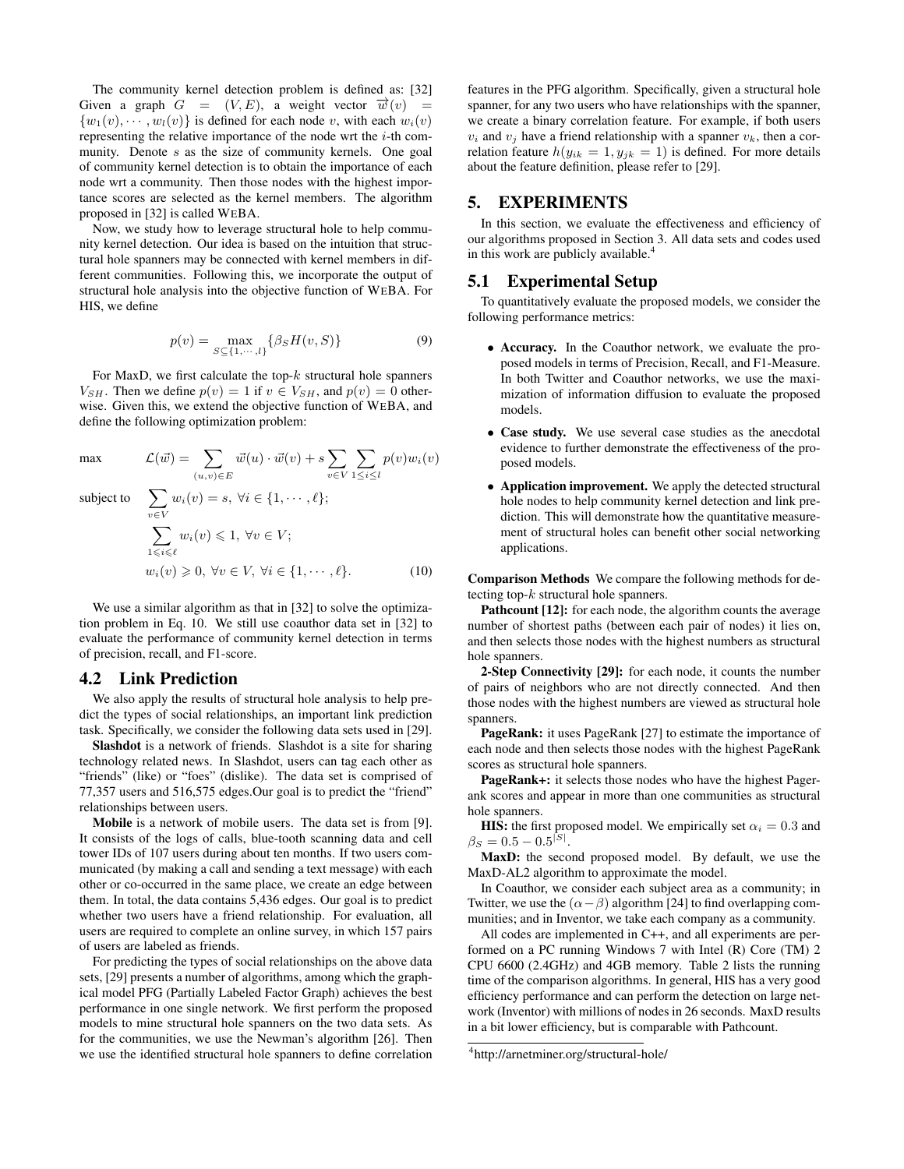The community kernel detection problem is defined as: [32] Given a graph  $G = (V, E)$ , a weight vector  $\vec{w}(v) =$  $\{w_1(v), \dots, w_l(v)\}\$ is defined for each node v, with each  $w_i(v)$ representing the relative importance of the node wrt the  $i$ -th community. Denote s as the size of community kernels. One goal of community kernel detection is to obtain the importance of each node wrt a community. Then those nodes with the highest importance scores are selected as the kernel members. The algorithm proposed in [32] is called WEBA.

Now, we study how to leverage structural hole to help community kernel detection. Our idea is based on the intuition that structural hole spanners may be connected with kernel members in different communities. Following this, we incorporate the output of structural hole analysis into the objective function of WEBA. For HIS, we define

$$
p(v) = \max_{S \subseteq \{1, \cdots, l\}} \{ \beta_S H(v, S) \}
$$
(9)

For MaxD, we first calculate the top- $k$  structural hole spanners  $V_{SH}$ . Then we define  $p(v) = 1$  if  $v \in V_{SH}$ , and  $p(v) = 0$  otherwise. Given this, we extend the objective function of WEBA, and define the following optimization problem:

$$
\max \qquad \mathcal{L}(\vec{w}) = \sum_{(u,v)\in E} \vec{w}(u) \cdot \vec{w}(v) + s \sum_{v \in V} \sum_{1 \le i \le l} p(v) w_i(v)
$$
\n
$$
\text{subject to} \qquad \sum w_i(v) = s, \ \forall i \in \{1, \cdots, \ell\};
$$

$$
\sum_{1 \le i \le \ell}^{\nu \in V} w_i(v) \le 1, \forall v \in V; \n w_i(v) \ge 0, \forall v \in V, \forall i \in \{1, \cdots, \ell\}.
$$
\n(10)

We use a similar algorithm as that in [32] to solve the optimization problem in Eq. 10. We still use coauthor data set in [32] to evaluate the performance of community kernel detection in terms of precision, recall, and F1-score.

#### 4.2 Link Prediction

We also apply the results of structural hole analysis to help predict the types of social relationships, an important link prediction task. Specifically, we consider the following data sets used in [29].

Slashdot is a network of friends. Slashdot is a site for sharing technology related news. In Slashdot, users can tag each other as "friends" (like) or "foes" (dislike). The data set is comprised of 77,357 users and 516,575 edges.Our goal is to predict the "friend" relationships between users.

Mobile is a network of mobile users. The data set is from [9]. It consists of the logs of calls, blue-tooth scanning data and cell tower IDs of 107 users during about ten months. If two users communicated (by making a call and sending a text message) with each other or co-occurred in the same place, we create an edge between them. In total, the data contains 5,436 edges. Our goal is to predict whether two users have a friend relationship. For evaluation, all users are required to complete an online survey, in which 157 pairs of users are labeled as friends.

For predicting the types of social relationships on the above data sets, [29] presents a number of algorithms, among which the graphical model PFG (Partially Labeled Factor Graph) achieves the best performance in one single network. We first perform the proposed models to mine structural hole spanners on the two data sets. As for the communities, we use the Newman's algorithm [26]. Then we use the identified structural hole spanners to define correlation

features in the PFG algorithm. Specifically, given a structural hole spanner, for any two users who have relationships with the spanner, we create a binary correlation feature. For example, if both users  $v_i$  and  $v_j$  have a friend relationship with a spanner  $v_k$ , then a correlation feature  $h(y_{ik} = 1, y_{ik} = 1)$  is defined. For more details about the feature definition, please refer to [29].

## 5. EXPERIMENTS

In this section, we evaluate the effectiveness and efficiency of our algorithms proposed in Section 3. All data sets and codes used in this work are publicly available.<sup>4</sup>

#### 5.1 Experimental Setup

To quantitatively evaluate the proposed models, we consider the following performance metrics:

- Accuracy. In the Coauthor network, we evaluate the proposed models in terms of Precision, Recall, and F1-Measure. In both Twitter and Coauthor networks, we use the maximization of information diffusion to evaluate the proposed models.
- Case study. We use several case studies as the anecdotal evidence to further demonstrate the effectiveness of the proposed models.
- Application improvement. We apply the detected structural hole nodes to help community kernel detection and link prediction. This will demonstrate how the quantitative measurement of structural holes can benefit other social networking applications.

Comparison Methods We compare the following methods for detecting top- $k$  structural hole spanners.

Pathcount [12]: for each node, the algorithm counts the average number of shortest paths (between each pair of nodes) it lies on, and then selects those nodes with the highest numbers as structural hole spanners.

2-Step Connectivity [29]: for each node, it counts the number of pairs of neighbors who are not directly connected. And then those nodes with the highest numbers are viewed as structural hole spanners.

**PageRank:** it uses PageRank [27] to estimate the importance of each node and then selects those nodes with the highest PageRank scores as structural hole spanners.

PageRank+: it selects those nodes who have the highest Pagerank scores and appear in more than one communities as structural hole spanners.

**HIS:** the first proposed model. We empirically set  $\alpha_i = 0.3$  and  $\beta_S = 0.5 - 0.5^{S}$ .

MaxD: the second proposed model. By default, we use the MaxD-AL2 algorithm to approximate the model.

In Coauthor, we consider each subject area as a community; in Twitter, we use the  $(\alpha - \beta)$  algorithm [24] to find overlapping communities; and in Inventor, we take each company as a community.

All codes are implemented in C++, and all experiments are performed on a PC running Windows 7 with Intel (R) Core (TM) 2 CPU 6600 (2.4GHz) and 4GB memory. Table 2 lists the running time of the comparison algorithms. In general, HIS has a very good efficiency performance and can perform the detection on large network (Inventor) with millions of nodes in 26 seconds. MaxD results in a bit lower efficiency, but is comparable with Pathcount.

<sup>4</sup> http://arnetminer.org/structural-hole/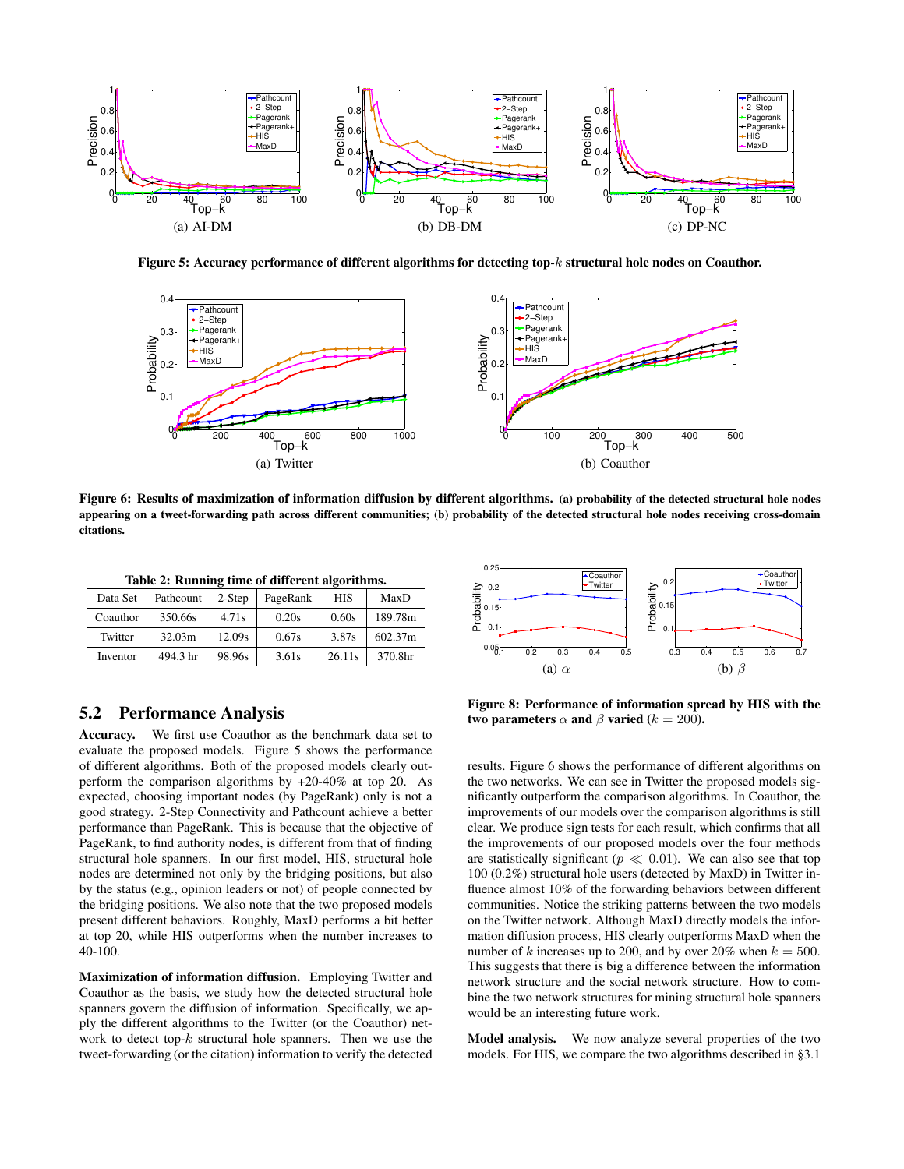

Figure 5: Accuracy performance of different algorithms for detecting top-k structural hole nodes on Coauthor.



Figure 6: Results of maximization of information diffusion by different algorithms. (a) probability of the detected structural hole nodes appearing on a tweet-forwarding path across different communities; (b) probability of the detected structural hole nodes receiving cross-domain citations.

Table 2: Running time of different algorithms.

| Data Set | Pathcount | $2-Step$ | PageRank | <b>HIS</b> | MaxD    |
|----------|-----------|----------|----------|------------|---------|
| Coauthor | 350.66s   | 4.71s    | 0.20s    | 0.60s      | 189.78m |
| Twitter  | 32.03m    | 12.09s   | 0.67s    | 3.87s      | 602.37m |
| Inventor | 494.3 hr  | 98.96s   | 3.61s    | 26.11s     | 370.8hr |

## 5.2 Performance Analysis

Accuracy. We first use Coauthor as the benchmark data set to evaluate the proposed models. Figure 5 shows the performance of different algorithms. Both of the proposed models clearly outperform the comparison algorithms by +20-40% at top 20. As expected, choosing important nodes (by PageRank) only is not a good strategy. 2-Step Connectivity and Pathcount achieve a better performance than PageRank. This is because that the objective of PageRank, to find authority nodes, is different from that of finding structural hole spanners. In our first model, HIS, structural hole nodes are determined not only by the bridging positions, but also by the status (e.g., opinion leaders or not) of people connected by the bridging positions. We also note that the two proposed models present different behaviors. Roughly, MaxD performs a bit better at top 20, while HIS outperforms when the number increases to 40-100.

Maximization of information diffusion. Employing Twitter and Coauthor as the basis, we study how the detected structural hole spanners govern the diffusion of information. Specifically, we apply the different algorithms to the Twitter (or the Coauthor) network to detect top-k structural hole spanners. Then we use the tweet-forwarding (or the citation) information to verify the detected



Figure 8: Performance of information spread by HIS with the two parameters  $\alpha$  and  $\beta$  varied ( $k = 200$ ).

results. Figure 6 shows the performance of different algorithms on the two networks. We can see in Twitter the proposed models significantly outperform the comparison algorithms. In Coauthor, the improvements of our models over the comparison algorithms is still clear. We produce sign tests for each result, which confirms that all the improvements of our proposed models over the four methods are statistically significant ( $p \ll 0.01$ ). We can also see that top 100 (0.2%) structural hole users (detected by MaxD) in Twitter influence almost 10% of the forwarding behaviors between different communities. Notice the striking patterns between the two models on the Twitter network. Although MaxD directly models the information diffusion process, HIS clearly outperforms MaxD when the number of k increases up to 200, and by over 20% when  $k = 500$ . This suggests that there is big a difference between the information network structure and the social network structure. How to combine the two network structures for mining structural hole spanners would be an interesting future work.

Model analysis. We now analyze several properties of the two models. For HIS, we compare the two algorithms described in §3.1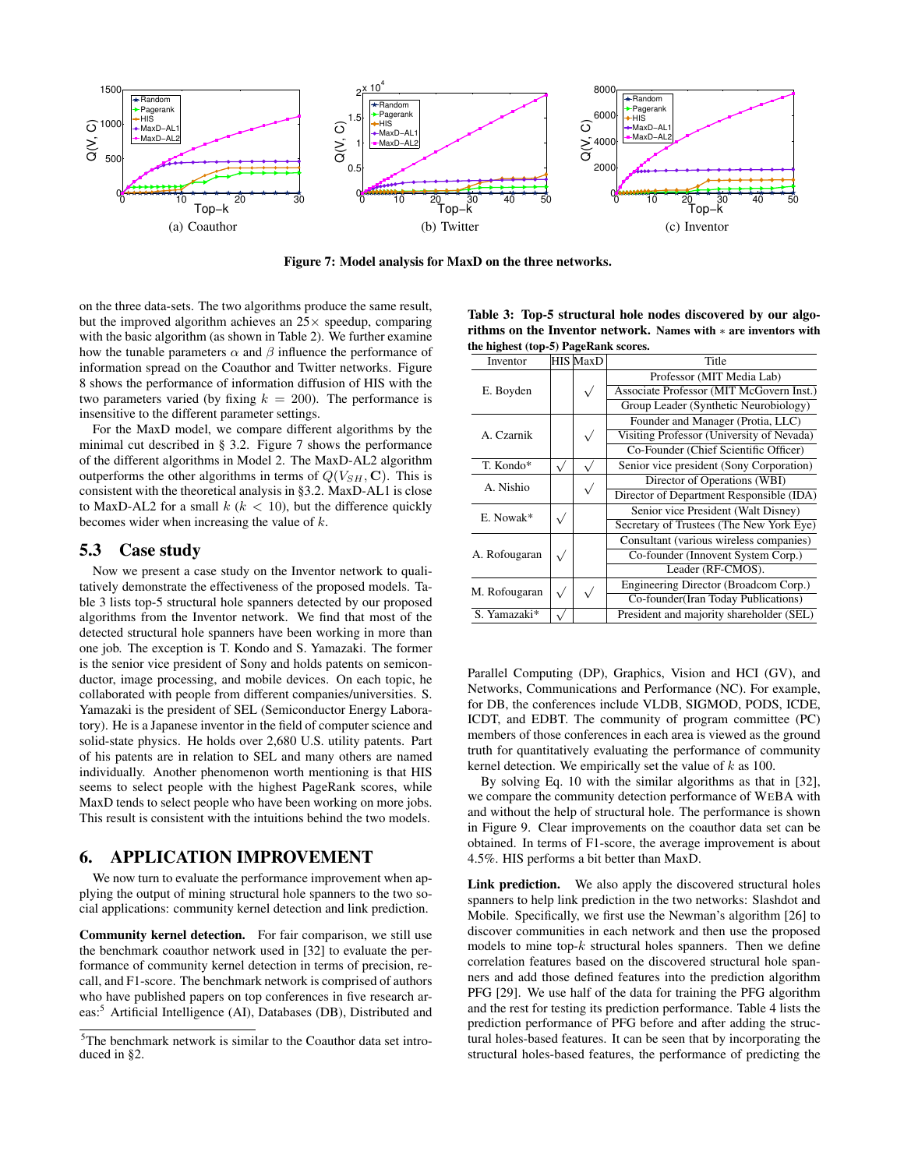

Figure 7: Model analysis for MaxD on the three networks.

on the three data-sets. The two algorithms produce the same result, but the improved algorithm achieves an  $25\times$  speedup, comparing with the basic algorithm (as shown in Table 2). We further examine how the tunable parameters  $\alpha$  and  $\beta$  influence the performance of information spread on the Coauthor and Twitter networks. Figure 8 shows the performance of information diffusion of HIS with the two parameters varied (by fixing  $k = 200$ ). The performance is insensitive to the different parameter settings.

For the MaxD model, we compare different algorithms by the minimal cut described in § 3.2. Figure 7 shows the performance of the different algorithms in Model 2. The MaxD-AL2 algorithm outperforms the other algorithms in terms of  $Q(V_{SH}, \mathbf{C})$ . This is consistent with the theoretical analysis in §3.2. MaxD-AL1 is close to MaxD-AL2 for a small  $k (k < 10)$ , but the difference quickly becomes wider when increasing the value of k.

#### 5.3 Case study

Now we present a case study on the Inventor network to qualitatively demonstrate the effectiveness of the proposed models. Table 3 lists top-5 structural hole spanners detected by our proposed algorithms from the Inventor network. We find that most of the detected structural hole spanners have been working in more than one job. The exception is T. Kondo and S. Yamazaki. The former is the senior vice president of Sony and holds patents on semiconductor, image processing, and mobile devices. On each topic, he collaborated with people from different companies/universities. S. Yamazaki is the president of SEL (Semiconductor Energy Laboratory). He is a Japanese inventor in the field of computer science and solid-state physics. He holds over 2,680 U.S. utility patents. Part of his patents are in relation to SEL and many others are named individually. Another phenomenon worth mentioning is that HIS seems to select people with the highest PageRank scores, while MaxD tends to select people who have been working on more jobs. This result is consistent with the intuitions behind the two models.

#### 6. APPLICATION IMPROVEMENT

We now turn to evaluate the performance improvement when applying the output of mining structural hole spanners to the two social applications: community kernel detection and link prediction.

Community kernel detection. For fair comparison, we still use the benchmark coauthor network used in [32] to evaluate the performance of community kernel detection in terms of precision, recall, and F1-score. The benchmark network is comprised of authors who have published papers on top conferences in five research areas:<sup>5</sup> Artificial Intelligence (AI), Databases (DB), Distributed and

| Table 3: Top-5 structural hole nodes discovered by our algo-         |  |
|----------------------------------------------------------------------|--|
| rithms on the Inventor network. Names with $\ast$ are inventors with |  |
| the highest (top-5) PageRank scores.                                 |  |

| $\frac{1}{2}$ mg nest (top-c) 1 agersams scores. |           |           |                                           |  |  |
|--------------------------------------------------|-----------|-----------|-------------------------------------------|--|--|
| Inventor                                         |           | HIS MaxD  | Title                                     |  |  |
| E. Boyden                                        |           | $\sqrt{}$ | Professor (MIT Media Lab)                 |  |  |
|                                                  |           |           | Associate Professor (MIT McGovern Inst.)  |  |  |
|                                                  |           |           | Group Leader (Synthetic Neurobiology)     |  |  |
|                                                  |           |           | Founder and Manager (Protia, LLC)         |  |  |
| A. Czarnik                                       |           |           | Visiting Professor (University of Nevada) |  |  |
|                                                  |           |           | Co-Founder (Chief Scientific Officer)     |  |  |
| T. Kondo*                                        | $\sqrt{}$ |           | Senior vice president (Sony Corporation)  |  |  |
| A. Nishio                                        |           |           | Director of Operations (WBI)              |  |  |
|                                                  |           |           | Director of Department Responsible (IDA)  |  |  |
| E. Nowak*                                        |           |           | Senior vice President (Walt Disney)       |  |  |
|                                                  |           |           | Secretary of Trustees (The New York Eye)  |  |  |
| A. Rofougaran                                    |           |           | Consultant (various wireless companies)   |  |  |
|                                                  |           |           | Co-founder (Innovent System Corp.)        |  |  |
|                                                  |           |           | Leader (RF-CMOS).                         |  |  |
| M. Rofougaran                                    |           |           | Engineering Director (Broadcom Corp.)     |  |  |
|                                                  |           |           | Co-founder(Iran Today Publications)       |  |  |
| S. Yamazaki*                                     |           |           | President and majority shareholder (SEL)  |  |  |
|                                                  |           |           |                                           |  |  |

Parallel Computing (DP), Graphics, Vision and HCI (GV), and Networks, Communications and Performance (NC). For example, for DB, the conferences include VLDB, SIGMOD, PODS, ICDE, ICDT, and EDBT. The community of program committee (PC) members of those conferences in each area is viewed as the ground truth for quantitatively evaluating the performance of community kernel detection. We empirically set the value of  $k$  as 100.

By solving Eq. 10 with the similar algorithms as that in [32], we compare the community detection performance of WEBA with and without the help of structural hole. The performance is shown in Figure 9. Clear improvements on the coauthor data set can be obtained. In terms of F1-score, the average improvement is about 4.5%. HIS performs a bit better than MaxD.

Link prediction. We also apply the discovered structural holes spanners to help link prediction in the two networks: Slashdot and Mobile. Specifically, we first use the Newman's algorithm [26] to discover communities in each network and then use the proposed models to mine top- $k$  structural holes spanners. Then we define correlation features based on the discovered structural hole spanners and add those defined features into the prediction algorithm PFG [29]. We use half of the data for training the PFG algorithm and the rest for testing its prediction performance. Table 4 lists the prediction performance of PFG before and after adding the structural holes-based features. It can be seen that by incorporating the structural holes-based features, the performance of predicting the

<sup>5</sup>The benchmark network is similar to the Coauthor data set introduced in §2.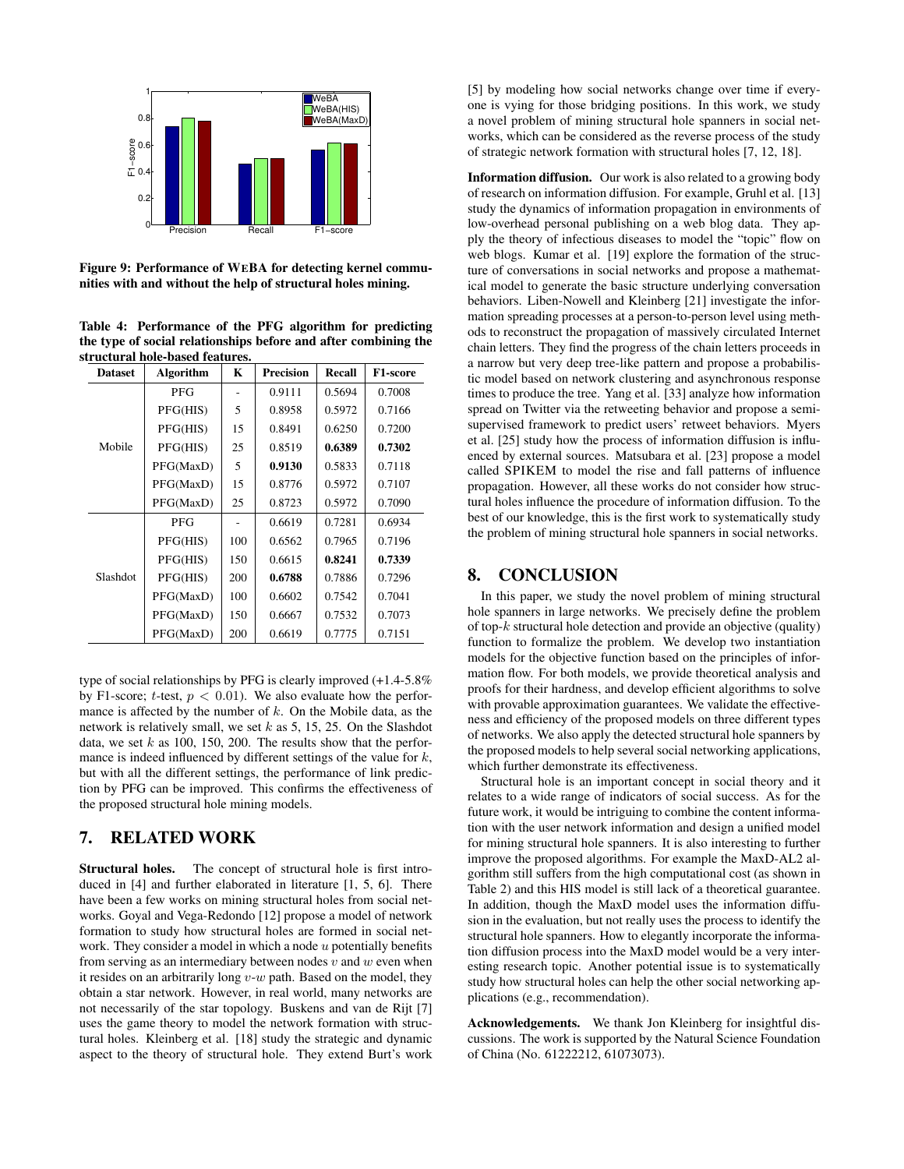

Figure 9: Performance of WEBA for detecting kernel communities with and without the help of structural holes mining.

Table 4: Performance of the PFG algorithm for predicting the type of social relationships before and after combining the structural hole-based features.

| <b>Dataset</b> | Algorithm | K   | <b>Precision</b> | Recall | <b>F1-score</b> |
|----------------|-----------|-----|------------------|--------|-----------------|
| Mobile         | PFG       |     | 0.9111           | 0.5694 | 0.7008          |
|                | PFG(HIS)  | 5   | 0.8958           | 0.5972 | 0.7166          |
|                | PFG(HIS)  | 15  | 0.8491           | 0.6250 | 0.7200          |
|                | PFG(HIS)  | 25  | 0.8519           | 0.6389 | 0.7302          |
|                | PFG(MaxD) | 5   | 0.9130           | 0.5833 | 0.7118          |
|                | PFG(MaxD) | 15  | 0.8776           | 0.5972 | 0.7107          |
|                | PFG(MaxD) | 25  | 0.8723           | 0.5972 | 0.7090          |
| Slashdot       | PFG       |     | 0.6619           | 0.7281 | 0.6934          |
|                | PFG(HIS)  | 100 | 0.6562           | 0.7965 | 0.7196          |
|                | PFG(HIS)  | 150 | 0.6615           | 0.8241 | 0.7339          |
|                | PFG(HIS)  | 200 | 0.6788           | 0.7886 | 0.7296          |
|                | PFG(MaxD) | 100 | 0.6602           | 0.7542 | 0.7041          |
|                | PFG(MaxD) | 150 | 0.6667           | 0.7532 | 0.7073          |
|                | PFG(MaxD) | 200 | 0.6619           | 0.7775 | 0.7151          |

type of social relationships by PFG is clearly improved (+1.4-5.8% by F1-score; t-test,  $p < 0.01$ ). We also evaluate how the performance is affected by the number of  $k$ . On the Mobile data, as the network is relatively small, we set  $k$  as 5, 15, 25. On the Slashdot data, we set  $k$  as 100, 150, 200. The results show that the performance is indeed influenced by different settings of the value for k, but with all the different settings, the performance of link prediction by PFG can be improved. This confirms the effectiveness of the proposed structural hole mining models.

## 7. RELATED WORK

Structural holes. The concept of structural hole is first introduced in [4] and further elaborated in literature [1, 5, 6]. There have been a few works on mining structural holes from social networks. Goyal and Vega-Redondo [12] propose a model of network formation to study how structural holes are formed in social network. They consider a model in which a node  $u$  potentially benefits from serving as an intermediary between nodes  $v$  and  $w$  even when it resides on an arbitrarily long  $v-w$  path. Based on the model, they obtain a star network. However, in real world, many networks are not necessarily of the star topology. Buskens and van de Rijt [7] uses the game theory to model the network formation with structural holes. Kleinberg et al. [18] study the strategic and dynamic aspect to the theory of structural hole. They extend Burt's work [5] by modeling how social networks change over time if everyone is vying for those bridging positions. In this work, we study a novel problem of mining structural hole spanners in social networks, which can be considered as the reverse process of the study of strategic network formation with structural holes [7, 12, 18].

Information diffusion. Our work is also related to a growing body of research on information diffusion. For example, Gruhl et al. [13] study the dynamics of information propagation in environments of low-overhead personal publishing on a web blog data. They apply the theory of infectious diseases to model the "topic" flow on web blogs. Kumar et al. [19] explore the formation of the structure of conversations in social networks and propose a mathematical model to generate the basic structure underlying conversation behaviors. Liben-Nowell and Kleinberg [21] investigate the information spreading processes at a person-to-person level using methods to reconstruct the propagation of massively circulated Internet chain letters. They find the progress of the chain letters proceeds in a narrow but very deep tree-like pattern and propose a probabilistic model based on network clustering and asynchronous response times to produce the tree. Yang et al. [33] analyze how information spread on Twitter via the retweeting behavior and propose a semisupervised framework to predict users' retweet behaviors. Myers et al. [25] study how the process of information diffusion is influenced by external sources. Matsubara et al. [23] propose a model called SPIKEM to model the rise and fall patterns of influence propagation. However, all these works do not consider how structural holes influence the procedure of information diffusion. To the best of our knowledge, this is the first work to systematically study the problem of mining structural hole spanners in social networks.

## 8. CONCLUSION

In this paper, we study the novel problem of mining structural hole spanners in large networks. We precisely define the problem of top- $k$  structural hole detection and provide an objective (quality) function to formalize the problem. We develop two instantiation models for the objective function based on the principles of information flow. For both models, we provide theoretical analysis and proofs for their hardness, and develop efficient algorithms to solve with provable approximation guarantees. We validate the effectiveness and efficiency of the proposed models on three different types of networks. We also apply the detected structural hole spanners by the proposed models to help several social networking applications, which further demonstrate its effectiveness.

Structural hole is an important concept in social theory and it relates to a wide range of indicators of social success. As for the future work, it would be intriguing to combine the content information with the user network information and design a unified model for mining structural hole spanners. It is also interesting to further improve the proposed algorithms. For example the MaxD-AL2 algorithm still suffers from the high computational cost (as shown in Table 2) and this HIS model is still lack of a theoretical guarantee. In addition, though the MaxD model uses the information diffusion in the evaluation, but not really uses the process to identify the structural hole spanners. How to elegantly incorporate the information diffusion process into the MaxD model would be a very interesting research topic. Another potential issue is to systematically study how structural holes can help the other social networking applications (e.g., recommendation).

Acknowledgements. We thank Jon Kleinberg for insightful discussions. The work is supported by the Natural Science Foundation of China (No. 61222212, 61073073).